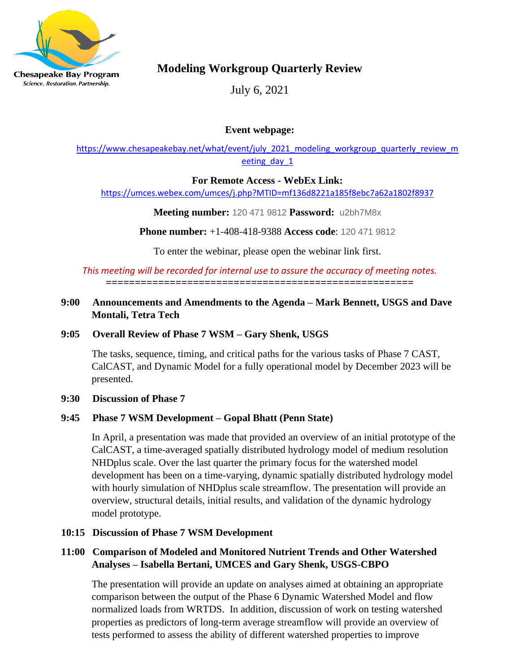

Science. Restoration. Partnership.

# **Modeling Workgroup Quarterly Review**

July 6, 2021

## **Event webpage:**

[https://www.chesapeakebay.net/what/event/july\\_2021\\_modeling\\_workgroup\\_quarterly\\_review\\_m](https://www.chesapeakebay.net/what/event/july_2021_modeling_workgroup_quarterly_review_meeting_day_1) eeting day 1

#### **For Remote Access - WebEx Link:**

<https://umces.webex.com/umces/j.php?MTID=mf136d8221a185f8ebc7a62a1802f8937>

**Meeting number:** 120 471 9812 **Password:** u2bh7M8x

**Phone number:** +1-408-418-9388 **Access code**: 120 471 9812

To enter the webinar, please open the webinar link first.

#### *This meeting will be recorded for internal use to assure the accuracy of meeting notes.* **=====================================================**

## **9:00 Announcements and Amendments to the Agenda – Mark Bennett, USGS and Dave Montali, Tetra Tech**

## **9:05 Overall Review of Phase 7 WSM – Gary Shenk, USGS**

The tasks, sequence, timing, and critical paths for the various tasks of Phase 7 CAST, CalCAST, and Dynamic Model for a fully operational model by December 2023 will be presented.

#### **9:30 Discussion of Phase 7**

#### **9:45 Phase 7 WSM Development – Gopal Bhatt (Penn State)**

In April, a presentation was made that provided an overview of an initial prototype of the CalCAST, a time-averaged spatially distributed hydrology model of medium resolution NHDplus scale. Over the last quarter the primary focus for the watershed model development has been on a time-varying, dynamic spatially distributed hydrology model with hourly simulation of NHDplus scale streamflow. The presentation will provide an overview, structural details, initial results, and validation of the dynamic hydrology model prototype.

#### **10:15 Discussion of Phase 7 WSM Development**

## **11:00 Comparison of Modeled and Monitored Nutrient Trends and Other Watershed Analyses – Isabella Bertani, UMCES and Gary Shenk, USGS-CBPO**

 The presentation will provide an update on analyses aimed at obtaining an appropriate comparison between the output of the Phase 6 Dynamic Watershed Model and flow normalized loads from WRTDS. In addition, discussion of work on testing watershed properties as predictors of long-term average streamflow will provide an overview of tests performed to assess the ability of different watershed properties to improve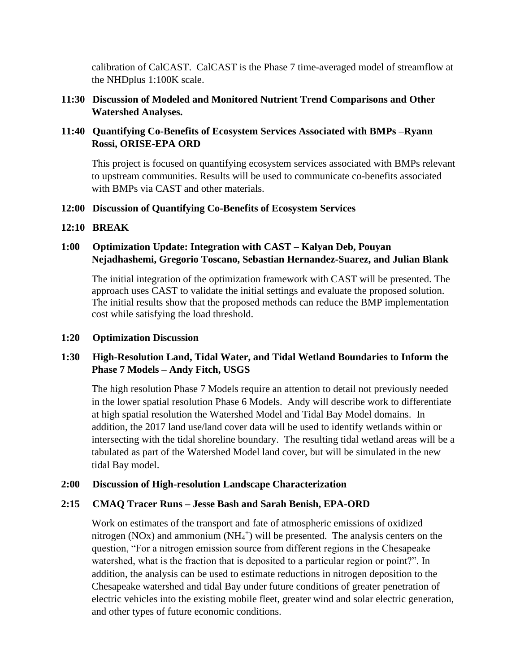calibration of CalCAST. CalCAST is the Phase 7 time-averaged model of streamflow at the NHDplus 1:100K scale.

**11:30 Discussion of Modeled and Monitored Nutrient Trend Comparisons and Other Watershed Analyses.** 

## **11:40 Quantifying Co-Benefits of Ecosystem Services Associated with BMPs –Ryann Rossi, ORISE-EPA ORD**

This project is focused on quantifying ecosystem services associated with BMPs relevant to upstream communities. Results will be used to communicate co-benefits associated with BMPs via CAST and other materials.

#### **12:00 Discussion of Quantifying Co-Benefits of Ecosystem Services**

#### **12:10 BREAK**

## **1:00 Optimization Update: Integration with CAST – Kalyan Deb, Pouyan Nejadhashemi, Gregorio Toscano, Sebastian Hernandez-Suarez, and Julian Blank**

 The initial integration of the optimization framework with CAST will be presented. The approach uses CAST to validate the initial settings and evaluate the proposed solution. The initial results show that the proposed methods can reduce the BMP implementation cost while satisfying the load threshold.

#### **1:20 Optimization Discussion**

## **1:30 High-Resolution Land, Tidal Water, and Tidal Wetland Boundaries to Inform the Phase 7 Models – Andy Fitch, USGS**

 The high resolution Phase 7 Models require an attention to detail not previously needed in the lower spatial resolution Phase 6 Models. Andy will describe work to differentiate at high spatial resolution the Watershed Model and Tidal Bay Model domains. In addition, the 2017 land use/land cover data will be used to identify wetlands within or intersecting with the tidal shoreline boundary. The resulting tidal wetland areas will be a tabulated as part of the Watershed Model land cover, but will be simulated in the new tidal Bay model.

#### **2:00 Discussion of High-resolution Landscape Characterization**

#### **2:15 CMAQ Tracer Runs – Jesse Bash and Sarah Benish, EPA-ORD**

 Work on estimates of the transport and fate of atmospheric emissions of oxidized nitrogen (NOx) and ammonium (NH<sub>4</sub><sup>+</sup>) will be presented. The analysis centers on the question, "For a nitrogen emission source from different regions in the Chesapeake watershed, what is the fraction that is deposited to a particular region or point?". In addition, the analysis can be used to estimate reductions in nitrogen deposition to the Chesapeake watershed and tidal Bay under future conditions of greater penetration of electric vehicles into the existing mobile fleet, greater wind and solar electric generation, and other types of future economic conditions.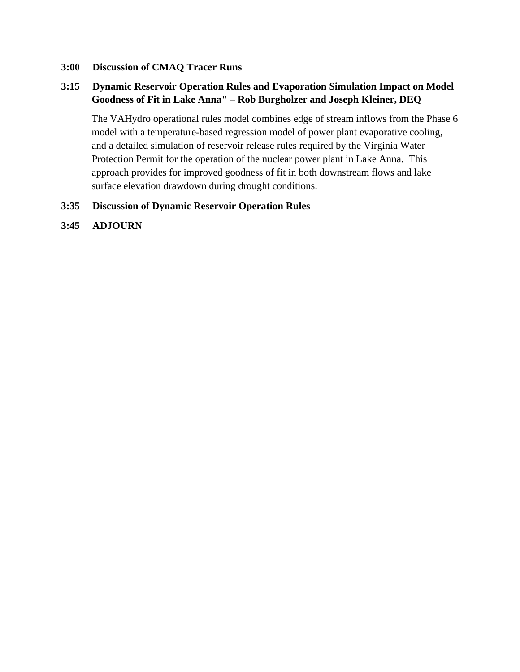#### **3:00 Discussion of CMAQ Tracer Runs**

#### **3:15 Dynamic Reservoir Operation Rules and Evaporation Simulation Impact on Model Goodness of Fit in Lake Anna" – Rob Burgholzer and Joseph Kleiner, DEQ**

The VAHydro operational rules model combines edge of stream inflows from the Phase 6 model with a temperature-based regression model of power plant evaporative cooling, and a detailed simulation of reservoir release rules required by the Virginia Water Protection Permit for the operation of the nuclear power plant in Lake Anna. This approach provides for improved goodness of fit in both downstream flows and lake surface elevation drawdown during drought conditions.

#### **3:35 Discussion of Dynamic Reservoir Operation Rules**

**3:45 ADJOURN**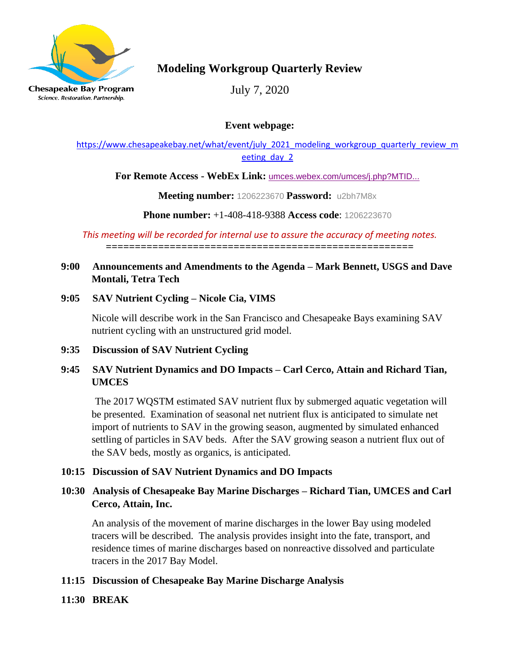

# **Modeling Workgroup Quarterly Review**

July 7, 2020

**Event webpage:**

[https://www.chesapeakebay.net/what/event/july\\_2021\\_modeling\\_workgroup\\_quarterly\\_review\\_m](https://www.chesapeakebay.net/what/event/july_2021_modeling_workgroup_quarterly_review_meeting_day_2) eeting day 2

**For Remote Access - WebEx Link:** [umces.webex.com/umces/j.php?MTID...](https://umces.webex.com/umces/j.php?MTID=m1949d135664f1afd5509ba572df59a0d)

**Meeting number:** 1206223670 **Password:** u2bh7M8x

**Phone number:** +1-408-418-9388 **Access code**: 1206223670

*This meeting will be recorded for internal use to assure the accuracy of meeting notes.* **=====================================================**

## **9:00 Announcements and Amendments to the Agenda – Mark Bennett, USGS and Dave Montali, Tetra Tech**

# **9:05 SAV Nutrient Cycling – Nicole Cia, VIMS**

 Nicole will describe work in the San Francisco and Chesapeake Bays examining SAV nutrient cycling with an unstructured grid model.

# **9:35 Discussion of SAV Nutrient Cycling**

# **9:45 SAV Nutrient Dynamics and DO Impacts – Carl Cerco, Attain and Richard Tian, UMCES**

 The 2017 WQSTM estimated SAV nutrient flux by submerged aquatic vegetation will be presented. Examination of seasonal net nutrient flux is anticipated to simulate net import of nutrients to SAV in the growing season, augmented by simulated enhanced settling of particles in SAV beds. After the SAV growing season a nutrient flux out of the SAV beds, mostly as organics, is anticipated.

# **10:15 Discussion of SAV Nutrient Dynamics and DO Impacts**

# **10:30 Analysis of Chesapeake Bay Marine Discharges – Richard Tian, UMCES and Carl Cerco, Attain, Inc.**

An analysis of the movement of marine discharges in the lower Bay using modeled tracers will be described. The analysis provides insight into the fate, transport, and residence times of marine discharges based on nonreactive dissolved and particulate tracers in the 2017 Bay Model.

# **11:15 Discussion of Chesapeake Bay Marine Discharge Analysis**

# **11:30 BREAK**